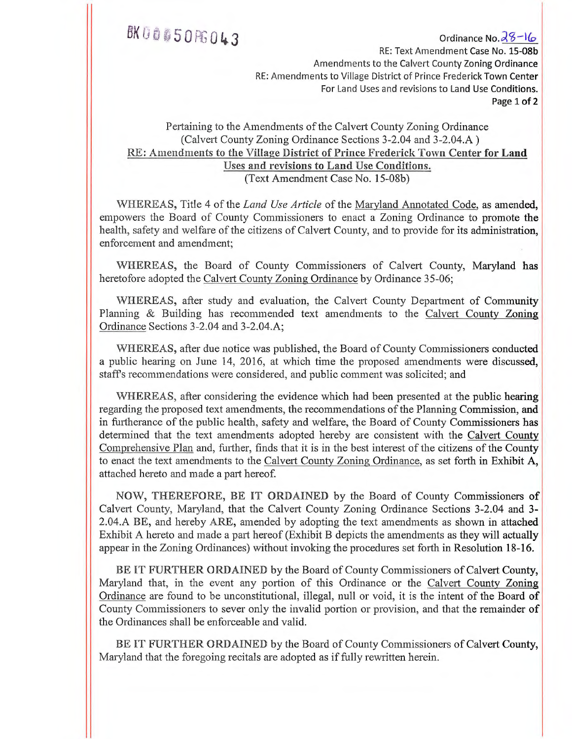<sup>1</sup>43 Ordinance No.S-1(.0, RE: Text Amendment Case No. 15-08b Amendments to the Calvert County Zoning Ordinance RE: Amendments to Village District of Prince Frederick Town Center For Land Uses and revisions to Land Use Conditions. Page 1 of 2

#### Pertaining to the Amendments of the Calvert County Zoning Ordinance (Calvert County Zoning Ordinance Sections 3-2.04 and 3-2.04.A ) RE: Amendments to the Village District of Prince Frederick Town Center for Land Uses and revisions to Land Use Conditions. (Text Amendment Case No. 15-08b)

WHEREAS, Title 4 of the *Land Use Article* of the Maryland Annotated Code, as amended, empowers the Board of County Commissioners to enact a Zoning Ordinance to promote the health, safety and welfare of the citizens of Calvert County, and to provide for its administration, enforcement and amendment;

WHEREAS, the Board of County Commissioners of Calvert County, Maryland has heretofore adopted the Calvert County Zoning Ordinance by Ordinance 35-06;

WHEREAS, after study and evaluation, the Calvert County Department of Community Planning & Building has recommended text amendments to the Calvert County Zoning Ordinance Sections 3-2.04 and 3-2.04.A;

WHEREAS, after due notice was published, the Board of County Commissioners conducted a public hearing on June 14, 2016, at which time the proposed amendments were discussed, staffs recommendations were considered, and public comment was solicited; and

WHEREAS, after considering the evidence which had been presented at the public hearing regarding the proposed text amendments, the recommendations of the Planning Commission, and in furtherance of the public health, safety and welfare, the Board of County Commissioners has determined that the text amendments adopted hereby are consistent with the Calvert County Comprehensive Planand, further, finds that it is in the best interest of the citizens of the County to enact the text amendments to the Calvert County Zoning Ordinance, as set forth in Exhibit A, attached hereto and made a part hereof.

NOW, THEREFORE, BE IT ORDAINED by the Board of County Commissioners of Calvert County, Maryland, that the Calvert County Zoning Ordinance Sections 3-2.04 and 3- 2.04.A BE, and hereby ARE, amended by adopting the text amendments as shown in attached Exhibit A hereto and made a part hereof (Exhibit B depicts the amendments as they will actually appear in the Zoning Ordinances) without invoking the procedures set forth in Resolution 18-16.

BE IT FURTHER ORDAINED by the Board of County Commissioners of Calvert County, Maryland that, in the event any portion of this Ordinance or the Calvert County Zoning Ordinance are found to be unconstitutional, illegal, null or void, it is the intent of the Board of County Commissioners to sever only the invalid portion or provision, and that the remainder of the Ordinances shall be enforceable and valid.

BE IT FURTHER ORDAINED by the Board of County Commissioners of Calvert County, Maryland that the foregoing recitals are adopted as if fully rewritten herein.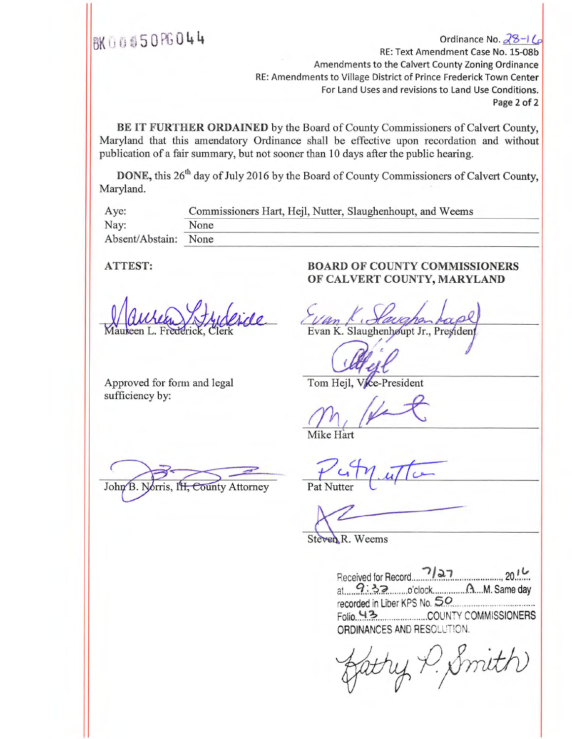<sup>14</sup>Ordinance No. 0?8---) (.13 RE: Text Amendment Case No. 15-08b Amendments to the Calvert County Zoning Ordinance RE: Amendments to Village District of Prince Frederick Town Center For Land Uses and revisions to Land Use Conditions. Page 2 of 2

BE IT FURTHER ORDAINED by the Board of County Commissioners of Calvert County, Maryland that this amendatory Ordinance shall be effective upon recordation and without publication of a fair summary, but not sooner than 10 days after the public hearing.

DONE, this 26<sup>th</sup> day of July 2016 by the Board of County Commissioners of Calvert County, Maryland.

| Aye:                 | Commissioners Hart, Hejl, Nutter, Slaughenhoupt, and Weems |
|----------------------|------------------------------------------------------------|
| Nay:                 | None                                                       |
| Absent/Abstain: None |                                                            |

Approved for form and legal sufficiency by:

John B. Norris, IH, County Attorney

### ATTEST: BOARD OF COUNTY COMMISSIONERS OF CALVERT COUNTY, MARYLAND

Evan K. Slaughenhøupt Jr., Presiden

Tom Hejl, Vice-President

Mike Hart

Pat Nutter

Steven R. Weems

| Received for Record 7/27 2016                                                                                                                                                                                                 |                               |
|-------------------------------------------------------------------------------------------------------------------------------------------------------------------------------------------------------------------------------|-------------------------------|
| $a^1$ $a^2$ $b^3$ $a^3$ $a^3$ $a^2$ $a^3$ $a^4$ $a^5$ $a^7$ $a^8$ $a^8$ $a^9$ $a^8$ $a^9$ $a^8$ $a^9$ $a^9$ $a^8$ $a^9$ $a^9$ $a^9$ $a^9$ $a^9$ $a^8$ $a^9$ $a^9$ $a^9$ $a^9$ $a^9$ $a^9$ $a^9$ $a^9$ $a^9$ $a^9$ $a^9$ $a^9$ |                               |
|                                                                                                                                                                                                                               | recorded in Liber KPS No. 50  |
|                                                                                                                                                                                                                               | Folio 43 COUNTY COMMISSIONERS |
| ORDINANCES AND RESOLUTION.                                                                                                                                                                                                    |                               |

gatty P. Smith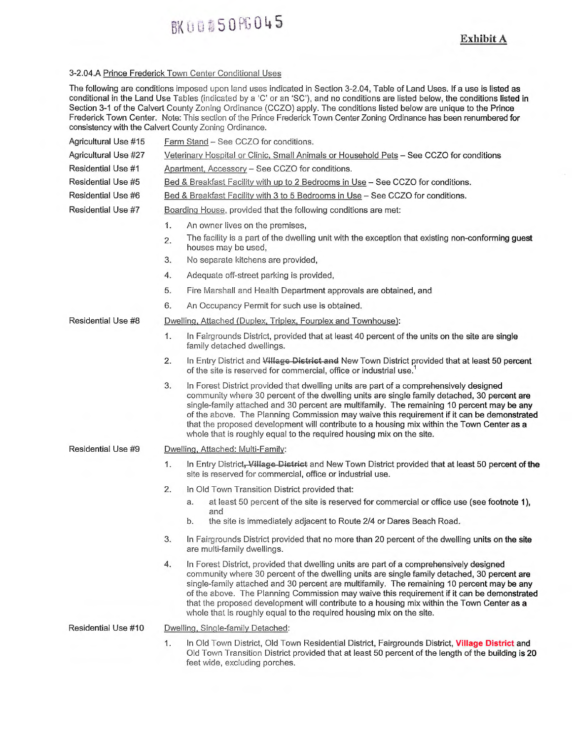# **BK00\$50PG045**

#### 3-2.04.A Prince Frederick Town Center Conditional Uses

The following are conditions imposed upon land uses indicated in Section 3-2.04, Table of Land Uses. If a use is listed as conditional in the Land Use Tables (indicated by a 'C' or an 'SC'), and no conditions are listed below, the conditions listed in Section 3-1 of the Calvert County Zoning Ordinance (CCZO) apply. The conditions listed below are unique to the Prince Frederick Town Center. Note: This section of the Prince Frederick Town Center Zoning Ordinance has been renumbered for consistency with the Calvert County Zoning Ordinance.

| Agricultural Use #15 | Farm Stand - See CCZO for conditions.                                                                                                                                                                                                                                                                                                                                                                                                                                                                                                                          |  |  |  |  |  |  |
|----------------------|----------------------------------------------------------------------------------------------------------------------------------------------------------------------------------------------------------------------------------------------------------------------------------------------------------------------------------------------------------------------------------------------------------------------------------------------------------------------------------------------------------------------------------------------------------------|--|--|--|--|--|--|
| Agricultural Use #27 | Veterinary Hospital or Clinic, Small Animals or Household Pets - See CCZO for conditions                                                                                                                                                                                                                                                                                                                                                                                                                                                                       |  |  |  |  |  |  |
| Residential Use #1   | Apartment, Accessory - See CCZO for conditions.                                                                                                                                                                                                                                                                                                                                                                                                                                                                                                                |  |  |  |  |  |  |
| Residential Use #5   | Bed & Breakfast Facility with up to 2 Bedrooms in Use - See CCZO for conditions.                                                                                                                                                                                                                                                                                                                                                                                                                                                                               |  |  |  |  |  |  |
| Residential Use #6   | Bed & Breakfast Facility with 3 to 5 Bedrooms in Use - See CCZO for conditions.                                                                                                                                                                                                                                                                                                                                                                                                                                                                                |  |  |  |  |  |  |
| Residential Use #7   | Boarding House, provided that the following conditions are met:                                                                                                                                                                                                                                                                                                                                                                                                                                                                                                |  |  |  |  |  |  |
|                      | 1.<br>An owner lives on the premises,                                                                                                                                                                                                                                                                                                                                                                                                                                                                                                                          |  |  |  |  |  |  |
|                      | The facility is a part of the dwelling unit with the exception that existing non-conforming guest<br>2.<br>houses may be used,                                                                                                                                                                                                                                                                                                                                                                                                                                 |  |  |  |  |  |  |
|                      | 3.<br>No separate kitchens are provided,                                                                                                                                                                                                                                                                                                                                                                                                                                                                                                                       |  |  |  |  |  |  |
|                      | 4.<br>Adequate off-street parking is provided,                                                                                                                                                                                                                                                                                                                                                                                                                                                                                                                 |  |  |  |  |  |  |
|                      | 5.<br>Fire Marshall and Health Department approvals are obtained, and                                                                                                                                                                                                                                                                                                                                                                                                                                                                                          |  |  |  |  |  |  |
|                      | 6.<br>An Occupancy Permit for such use is obtained.                                                                                                                                                                                                                                                                                                                                                                                                                                                                                                            |  |  |  |  |  |  |
| Residential Use #8   | Dwelling, Attached (Duplex, Triplex, Fourplex and Townhouse):                                                                                                                                                                                                                                                                                                                                                                                                                                                                                                  |  |  |  |  |  |  |
|                      | 1.<br>In Fairgrounds District, provided that at least 40 percent of the units on the site are single<br>family detached dwellings.                                                                                                                                                                                                                                                                                                                                                                                                                             |  |  |  |  |  |  |
|                      | 2.<br>In Entry District and Village District and New Town District provided that at least 50 percent<br>of the site is reserved for commercial, office or industrial use.                                                                                                                                                                                                                                                                                                                                                                                      |  |  |  |  |  |  |
|                      | 3.<br>In Forest District provided that dwelling units are part of a comprehensively designed<br>community where 30 percent of the dwelling units are single family detached, 30 percent are<br>single-family attached and 30 percent are multifamily. The remaining 10 percent may be any<br>of the above. The Planning Commission may waive this requirement if it can be demonstrated<br>that the proposed development will contribute to a housing mix within the Town Center as a<br>whole that is roughly equal to the required housing mix on the site.  |  |  |  |  |  |  |
| Residential Use #9   | Dwelling, Attached: Multi-Family:                                                                                                                                                                                                                                                                                                                                                                                                                                                                                                                              |  |  |  |  |  |  |
|                      | 1.<br>In Entry District, Village District and New Town District provided that at least 50 percent of the<br>site is reserved for commercial, office or industrial use.                                                                                                                                                                                                                                                                                                                                                                                         |  |  |  |  |  |  |
|                      | 2.<br>In Old Town Transition District provided that:                                                                                                                                                                                                                                                                                                                                                                                                                                                                                                           |  |  |  |  |  |  |
|                      | at least 50 percent of the site is reserved for commercial or office use (see footnote 1),<br>a.                                                                                                                                                                                                                                                                                                                                                                                                                                                               |  |  |  |  |  |  |
|                      | and<br>the site is immediately adjacent to Route 2/4 or Dares Beach Road.<br>b.                                                                                                                                                                                                                                                                                                                                                                                                                                                                                |  |  |  |  |  |  |
|                      | 3.<br>In Fairgrounds District provided that no more than 20 percent of the dwelling units on the site<br>are multi-family dwellings.                                                                                                                                                                                                                                                                                                                                                                                                                           |  |  |  |  |  |  |
|                      | 4.<br>In Forest District, provided that dwelling units are part of a comprehensively designed<br>community where 30 percent of the dwelling units are single family detached, 30 percent are<br>single-family attached and 30 percent are multifamily. The remaining 10 percent may be any<br>of the above. The Planning Commission may waive this requirement if it can be demonstrated<br>that the proposed development will contribute to a housing mix within the Town Center as a<br>whole that is roughly equal to the required housing mix on the site. |  |  |  |  |  |  |
| Residential Use #10  | Dwelling, Single-family Detached:                                                                                                                                                                                                                                                                                                                                                                                                                                                                                                                              |  |  |  |  |  |  |
|                      | 1.<br>In Old Town District, Old Town Residential District, Fairgrounds District, Village District and<br>Old Town Transition District provided that at least 50 percent of the length of the building is 20                                                                                                                                                                                                                                                                                                                                                    |  |  |  |  |  |  |

feet wide, excluding porches.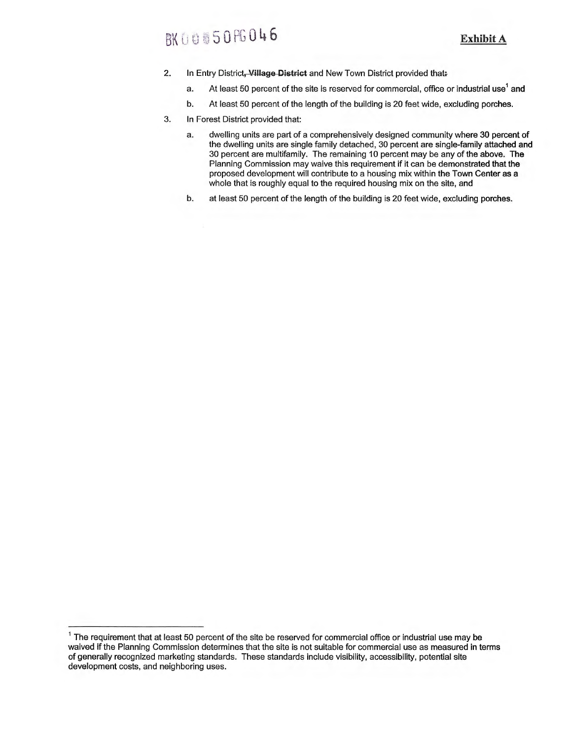## **BK00050PG046**

- 2. In Entry District, **Village District** and New Town District provided that
	- a. At least 50 percent of the site is reserved for commercial, office or industrial use' **and**
	- b. At least 50 percent of the length of the building is 20 feet wide, excluding porches.
- 3. In Forest District provided that:
	- a. dwelling units are part of a comprehensively designed community where 30 percent **of**  the dwelling units are single family detached, 30 percent are single-family attached **and**  30 percent are multifamily. The remaining 10 percent may be any of the above. **The**  Planning Commission may waive this requirement if it can be demonstrated that **the**  proposed development will contribute to a housing mix within the Town Center as a whole that is roughly equal to the required housing mix on the site, and
	- b. at least 50 percent of the length of the building is 20 feet wide, excluding porches.

 $1$  The requirement that at least 50 percent of the site be reserved for commercial office or industrial use may be waived if the Planning Commission determines that the site is not suitable for commercial use as measured in terms of generally recognized marketing standards. These standards include visibility, accessibility, potential site development costs, and neighboring uses.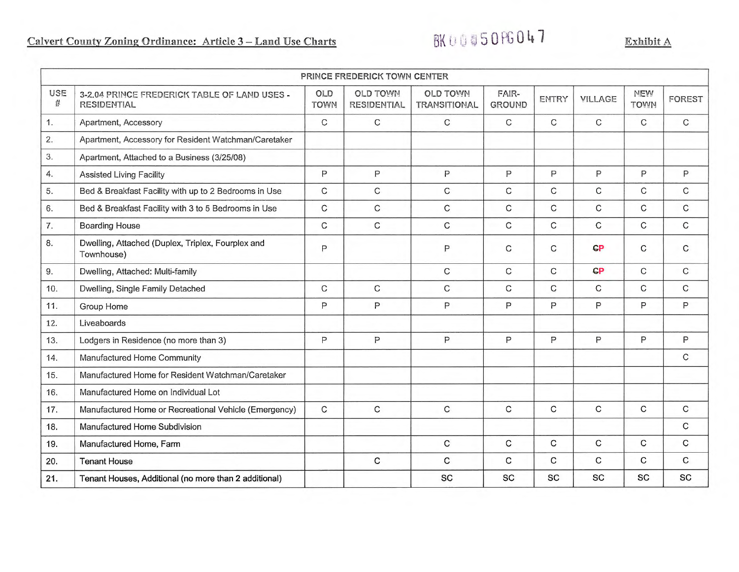|                         |                                                                    |                           | PRINCE FREDERICK TOWN CENTER          |                                        |                        |              |             |                           |               |
|-------------------------|--------------------------------------------------------------------|---------------------------|---------------------------------------|----------------------------------------|------------------------|--------------|-------------|---------------------------|---------------|
| USE<br>$\boldsymbol{H}$ | 3-2.04 PRINCE FREDERICK TABLE OF LAND USES -<br><b>RESIDENTIAL</b> | <b>OLD</b><br><b>TOWN</b> | <b>OLD TOWN</b><br><b>RESIDENTIAL</b> | <b>OLD TOWN</b><br><b>TRANSITIONAL</b> | FAIR-<br><b>GROUND</b> | ENTRY        | VILLAGE     | <b>NEW</b><br><b>TOWN</b> | <b>FOREST</b> |
| 1.                      | Apartment, Accessory                                               | $\mathsf{C}$              | $\mathsf C$                           | $\mathsf{C}$                           | $\mathsf C$            | $\mathsf{C}$ | $\mathbf C$ | $\mathsf{C}$              | C             |
| 2.                      | Apartment, Accessory for Resident Watchman/Caretaker               |                           |                                       |                                        |                        |              |             |                           |               |
| 3.                      | Apartment, Attached to a Business (3/25/08)                        |                           |                                       |                                        |                        |              |             |                           |               |
| 4.                      | <b>Assisted Living Facility</b>                                    | P                         | $\mathsf{P}$                          | P                                      | P                      | P            | P           | P                         | P             |
| 5.                      | Bed & Breakfast Facility with up to 2 Bedrooms in Use              | $\mathbf C$               | $\mathsf C$                           | $\mathsf{C}$                           | C                      | C            | С           | C                         | C             |
| 6.                      | Bed & Breakfast Facility with 3 to 5 Bedrooms in Use               | $\mathsf{C}$              | $\mathsf{C}$                          | $\mathsf C$                            | C                      | C            | $\mathsf C$ | $\mathsf{C}$              | C             |
| 7.                      | <b>Boarding House</b>                                              | $\mathbf C$               | $\mathbf C$                           | $\mathbf C$                            | $\mathbf C$            | $\mathsf{C}$ | $\mathbf C$ | $\mathsf{C}$              | $\mathbf C$   |
| 8.                      | Dwelling, Attached (Duplex, Triplex, Fourplex and<br>Townhouse)    | P                         |                                       | P                                      | C                      | C            | CP          | C                         | C             |
| 9.                      | Dwelling, Attached: Multi-family                                   |                           |                                       | C                                      | $\mathsf{C}$           | $\mathsf{C}$ | <b>CP</b>   | C                         | C.            |
| 10.                     | Dwelling, Single Family Detached                                   | C                         | C                                     | $\mathsf C$                            | C                      | C            | C           | C                         | C.            |
| 11.                     | Group Home                                                         | P                         | $\mathsf{P}$                          | P                                      | P                      | P            | P           | P                         | P             |
| 12.                     | Liveaboards                                                        |                           |                                       |                                        |                        |              |             |                           |               |
| 13.                     | Lodgers in Residence (no more than 3)                              | P                         | $\mathsf{P}$                          | $\mathsf{P}$                           | P                      | P            | P           | $\mathsf{P}$              | Ρ             |
| 14.                     | Manufactured Home Community                                        |                           |                                       |                                        |                        |              |             |                           | C             |
| 15.                     | Manufactured Home for Resident Watchman/Caretaker                  |                           |                                       |                                        |                        |              |             |                           |               |
| 16.                     | Manufactured Home on Individual Lot                                |                           |                                       |                                        |                        |              |             |                           |               |
| 17.                     | Manufactured Home or Recreational Vehicle (Emergency)              | C                         | C                                     | $\mathsf{C}$                           | $\mathsf{C}$           | $\mathsf C$  | C           | $\mathsf C$               | C             |
| 18.                     | Manufactured Home Subdivision                                      |                           |                                       |                                        |                        |              |             |                           | C             |
| 19.                     | Manufactured Home, Farm                                            |                           |                                       | C                                      | $\mathsf{C}$           | C            | C           | С                         | С             |
| 20.                     | <b>Tenant House</b>                                                |                           | $\mathbf C$                           | C                                      | C                      | $\mathsf{C}$ | C           | C                         | C             |
| 21.                     | Tenant Houses, Additional (no more than 2 additional)              |                           |                                       | SC                                     | SC                     | SC           | <b>SC</b>   | <b>SC</b>                 | <b>SC</b>     |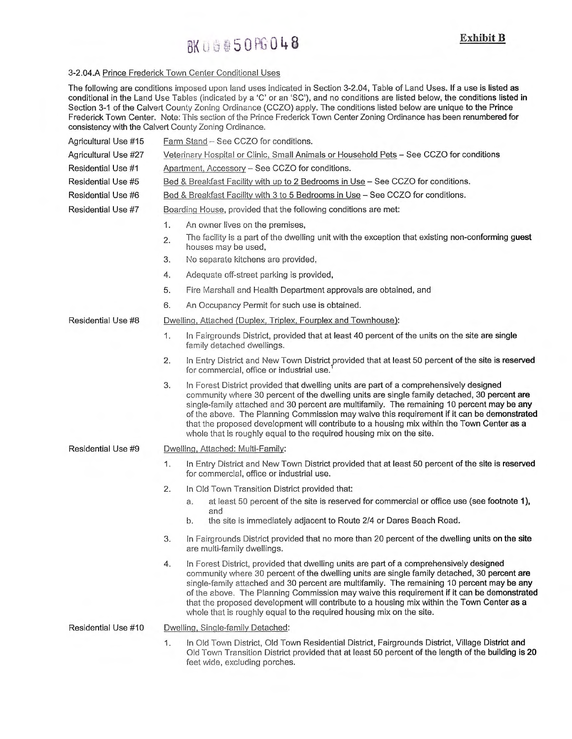## BK 060 $50$  FG 048

#### 3-2.04.A Prince Frederick Town Center Conditional Uses

The following are conditions imposed upon land uses indicated in Section 3-2.04, Table of Land Uses. If a use is listed as conditional in the Land Use Tables (indicated by a 'C' or an 'SC'), and no conditions are listed below, the conditions listed in Section 3-1 of the Calvert County Zoning Ordinance (CCZO) apply. The conditions listed below are unique to the Prince Frederick Town Center. Note: This section of the Prince Frederick Town Center Zoning Ordinance has been renumbered for consistency with the Calvert County Zoning Ordinance.

| Agricultural Use #15 | Farm Stand - See CCZO for conditions.                                                                                                                                                                                                                                                                                                                                                                                                                                                                                                                          |  |  |  |  |  |  |
|----------------------|----------------------------------------------------------------------------------------------------------------------------------------------------------------------------------------------------------------------------------------------------------------------------------------------------------------------------------------------------------------------------------------------------------------------------------------------------------------------------------------------------------------------------------------------------------------|--|--|--|--|--|--|
| Agricultural Use #27 | Veterinary Hospital or Clinic, Small Animals or Household Pets - See CCZO for conditions                                                                                                                                                                                                                                                                                                                                                                                                                                                                       |  |  |  |  |  |  |
| Residential Use #1   | Apartment, Accessory - See CCZO for conditions.                                                                                                                                                                                                                                                                                                                                                                                                                                                                                                                |  |  |  |  |  |  |
| Residential Use #5   | Bed & Breakfast Facility with up to 2 Bedrooms in Use - See CCZO for conditions.                                                                                                                                                                                                                                                                                                                                                                                                                                                                               |  |  |  |  |  |  |
| Residential Use #6   | Bed & Breakfast Facility with 3 to 5 Bedrooms in Use - See CCZO for conditions.                                                                                                                                                                                                                                                                                                                                                                                                                                                                                |  |  |  |  |  |  |
| Residential Use #7   | Boarding House, provided that the following conditions are met:                                                                                                                                                                                                                                                                                                                                                                                                                                                                                                |  |  |  |  |  |  |
|                      | 1.<br>An owner lives on the premises,                                                                                                                                                                                                                                                                                                                                                                                                                                                                                                                          |  |  |  |  |  |  |
|                      | The facility is a part of the dwelling unit with the exception that existing non-conforming guest<br>2.<br>houses may be used,                                                                                                                                                                                                                                                                                                                                                                                                                                 |  |  |  |  |  |  |
|                      | No separate kitchens are provided,<br>3.                                                                                                                                                                                                                                                                                                                                                                                                                                                                                                                       |  |  |  |  |  |  |
|                      | Adequate off-street parking is provided,<br>4.                                                                                                                                                                                                                                                                                                                                                                                                                                                                                                                 |  |  |  |  |  |  |
|                      | 5.<br>Fire Marshall and Health Department approvals are obtained, and                                                                                                                                                                                                                                                                                                                                                                                                                                                                                          |  |  |  |  |  |  |
|                      | 6.<br>An Occupancy Permit for such use is obtained.                                                                                                                                                                                                                                                                                                                                                                                                                                                                                                            |  |  |  |  |  |  |
| Residential Use #8   | Dwelling, Attached (Duplex, Triplex, Fourplex and Townhouse):                                                                                                                                                                                                                                                                                                                                                                                                                                                                                                  |  |  |  |  |  |  |
|                      | 1.<br>In Fairgrounds District, provided that at least 40 percent of the units on the site are single<br>family detached dwellings.                                                                                                                                                                                                                                                                                                                                                                                                                             |  |  |  |  |  |  |
|                      | In Entry District and New Town District provided that at least 50 percent of the site is reserved<br>2.<br>for commercial, office or industrial use.                                                                                                                                                                                                                                                                                                                                                                                                           |  |  |  |  |  |  |
|                      | In Forest District provided that dwelling units are part of a comprehensively designed<br>3.<br>community where 30 percent of the dwelling units are single family detached, 30 percent are<br>single-family attached and 30 percent are multifamily. The remaining 10 percent may be any<br>of the above. The Planning Commission may waive this requirement if it can be demonstrated<br>that the proposed development will contribute to a housing mix within the Town Center as a<br>whole that is roughly equal to the required housing mix on the site.  |  |  |  |  |  |  |
| Residential Use #9   | Dwelling, Attached: Multi-Family:                                                                                                                                                                                                                                                                                                                                                                                                                                                                                                                              |  |  |  |  |  |  |
|                      | In Entry District and New Town District provided that at least 50 percent of the site is reserved<br>1.<br>for commercial, office or industrial use.                                                                                                                                                                                                                                                                                                                                                                                                           |  |  |  |  |  |  |
|                      | 2.<br>In Old Town Transition District provided that:                                                                                                                                                                                                                                                                                                                                                                                                                                                                                                           |  |  |  |  |  |  |
|                      | at least 50 percent of the site is reserved for commercial or office use (see footnote 1),<br>a.                                                                                                                                                                                                                                                                                                                                                                                                                                                               |  |  |  |  |  |  |
|                      | and<br>the site is immediately adjacent to Route 2/4 or Dares Beach Road.<br>b.                                                                                                                                                                                                                                                                                                                                                                                                                                                                                |  |  |  |  |  |  |
|                      | 3.<br>In Fairgrounds District provided that no more than 20 percent of the dwelling units on the site<br>are multi-family dwellings.                                                                                                                                                                                                                                                                                                                                                                                                                           |  |  |  |  |  |  |
|                      | 4.<br>In Forest District, provided that dwelling units are part of a comprehensively designed<br>community where 30 percent of the dwelling units are single family detached, 30 percent are<br>single-family attached and 30 percent are multifamily. The remaining 10 percent may be any<br>of the above. The Planning Commission may waive this requirement if it can be demonstrated<br>that the proposed development will contribute to a housing mix within the Town Center as a<br>whole that is roughly equal to the required housing mix on the site. |  |  |  |  |  |  |
| Residential Use #10  | Dwelling, Single-family Detached:                                                                                                                                                                                                                                                                                                                                                                                                                                                                                                                              |  |  |  |  |  |  |
|                      | In Old Town District, Old Town Residential District, Fairgrounds District, Village District and<br>1.<br>Old Town Transition District provided that at least 50 percent of the length of the building is 20<br>feet wide, excluding porches.                                                                                                                                                                                                                                                                                                                   |  |  |  |  |  |  |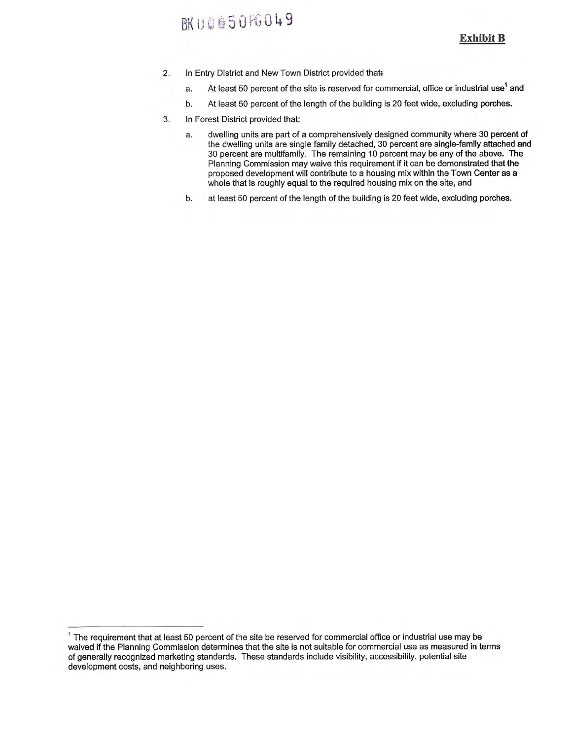### **BK00650FG049**

**Exhibit B** 

- 2. In Entry District and New Town District provided that:
	- a. At least 50 percent of the site is reserved for commercial, office or industrial use<sup>1</sup> and
	- b. At least 50 percent of the length of the building is 20 feet wide, excluding porches.
- 3. In Forest District provided that:
	- a. dwelling units are part of a comprehensively designed community where 30 percent of the dwelling units are single family detached, 30 percent are single-family attached and 30 percent are multifamily. The remaining 10 percent may be any of the above. The Planning Commission may waive this requirement if it can be demonstrated that the proposed development will contribute to a housing mix within the Town Center as a whole that is roughly equal to the required housing mix on the site, and
	- b. at least 50 percent of the length of the building is 20 feet wide, excluding porches.

 $1$  The requirement that at least 50 percent of the site be reserved for commercial office or industrial use may be waived if the Planning Commission determines that the site is not suitable for commercial use as measured in terms of generally recognized marketing standards. These standards include visibility, accessibility, potential site development costs, and neighboring uses.